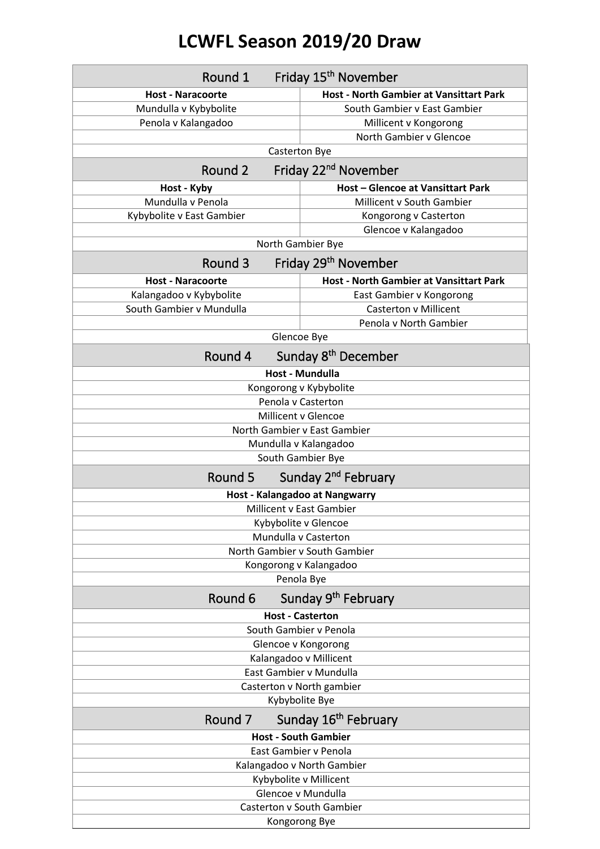## **LCWFL Season 2019/20 Draw**

| Round 1                                     | Friday 15 <sup>th</sup> November               |  |
|---------------------------------------------|------------------------------------------------|--|
| <b>Host - Naracoorte</b>                    | <b>Host - North Gambier at Vansittart Park</b> |  |
| Mundulla v Kybybolite                       | South Gambier v East Gambier                   |  |
| Penola v Kalangadoo                         | Millicent v Kongorong                          |  |
|                                             | North Gambier v Glencoe                        |  |
|                                             | <b>Casterton Bye</b>                           |  |
| Friday 22 <sup>nd</sup> November<br>Round 2 |                                                |  |
| Host - Kyby                                 | <b>Host - Glencoe at Vansittart Park</b>       |  |
| Mundulla v Penola                           | Millicent v South Gambier                      |  |
| Kybybolite v East Gambier                   | Kongorong v Casterton                          |  |
|                                             | Glencoe v Kalangadoo                           |  |
| North Gambier Bye                           |                                                |  |
| Round 3                                     | Friday 29 <sup>th</sup> November               |  |
| <b>Host - Naracoorte</b>                    | <b>Host - North Gambier at Vansittart Park</b> |  |
| Kalangadoo v Kybybolite                     | East Gambier v Kongorong                       |  |
| South Gambier v Mundulla                    | <b>Casterton v Millicent</b>                   |  |
|                                             | Penola v North Gambier                         |  |
|                                             | Glencoe Bye                                    |  |
| Round 4                                     | Sunday 8 <sup>th</sup> December                |  |
|                                             | Host - Mundulla                                |  |
|                                             | Kongorong v Kybybolite                         |  |
|                                             | Penola v Casterton                             |  |
| Millicent v Glencoe                         |                                                |  |
| North Gambier v East Gambier                |                                                |  |
| Mundulla v Kalangadoo                       |                                                |  |
|                                             | South Gambier Bye                              |  |
| Sunday 2 <sup>nd</sup> February<br>Round 5  |                                                |  |
| Host - Kalangadoo at Nangwarry              |                                                |  |
|                                             | <b>Millicent v East Gambier</b>                |  |
|                                             | Kybybolite v Glencoe                           |  |
|                                             | Mundulla v Casterton                           |  |
|                                             | North Gambier v South Gambier                  |  |
|                                             | Kongorong v Kalangadoo                         |  |
| Penola Bye                                  |                                                |  |
| Round 6                                     | Sunday 9 <sup>th</sup> February                |  |
| <b>Host - Casterton</b>                     |                                                |  |
| South Gambier v Penola                      |                                                |  |
| Glencoe v Kongorong                         |                                                |  |
| Kalangadoo v Millicent                      |                                                |  |
| East Gambier v Mundulla                     |                                                |  |
| Casterton v North gambier                   |                                                |  |
| Kybybolite Bye                              |                                                |  |
| Sunday 16 <sup>th</sup> February<br>Round 7 |                                                |  |
|                                             | <b>Host - South Gambier</b>                    |  |
|                                             | East Gambier v Penola                          |  |
| Kalangadoo v North Gambier                  |                                                |  |
| Kybybolite v Millicent                      |                                                |  |
| Glencoe v Mundulla                          |                                                |  |
| <b>Casterton v South Gambier</b>            |                                                |  |
|                                             | Kongorong Bye                                  |  |